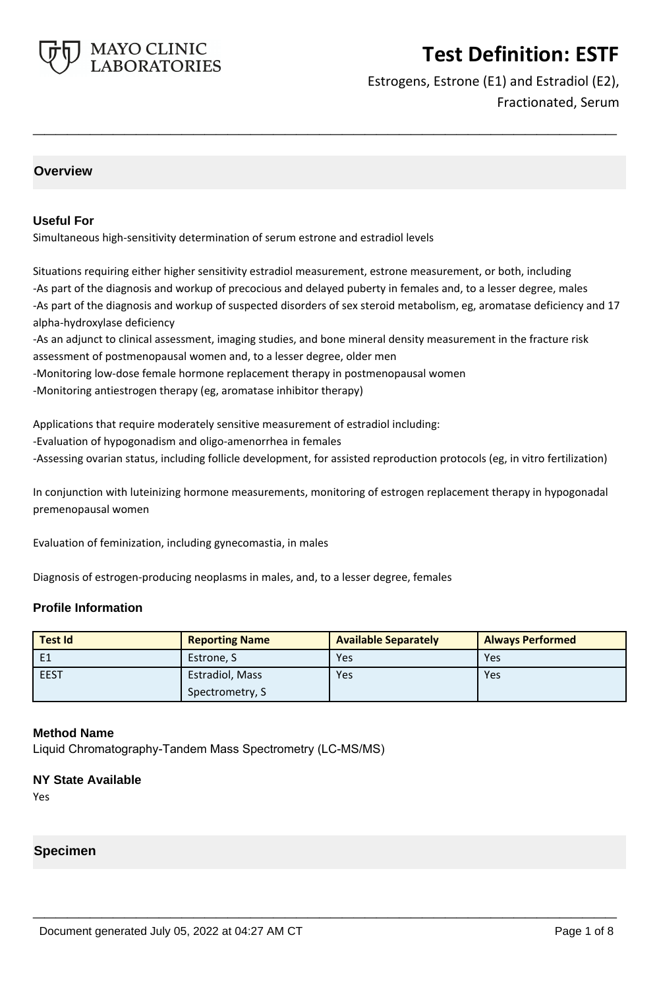

Estrogens, Estrone (E1) and Estradiol (E2), Fractionated, Serum

### **Overview**

#### **Useful For**

Simultaneous high-sensitivity determination of serum estrone and estradiol levels

Situations requiring either higher sensitivity estradiol measurement, estrone measurement, or both, including -As part of the diagnosis and workup of precocious and delayed puberty in females and, to a lesser degree, males -As part of the diagnosis and workup of suspected disorders of sex steroid metabolism, eg, aromatase deficiency and 17 alpha-hydroxylase deficiency

**\_\_\_\_\_\_\_\_\_\_\_\_\_\_\_\_\_\_\_\_\_\_\_\_\_\_\_\_\_\_\_\_\_\_\_\_\_\_\_\_\_\_\_\_\_\_\_\_\_\_\_**

-As an adjunct to clinical assessment, imaging studies, and bone mineral density measurement in the fracture risk assessment of postmenopausal women and, to a lesser degree, older men

-Monitoring low-dose female hormone replacement therapy in postmenopausal women

-Monitoring antiestrogen therapy (eg, aromatase inhibitor therapy)

Applications that require moderately sensitive measurement of estradiol including:

- -Evaluation of hypogonadism and oligo-amenorrhea in females
- -Assessing ovarian status, including follicle development, for assisted reproduction protocols (eg, in vitro fertilization)

In conjunction with luteinizing hormone measurements, monitoring of estrogen replacement therapy in hypogonadal premenopausal women

Evaluation of feminization, including gynecomastia, in males

Diagnosis of estrogen-producing neoplasms in males, and, to a lesser degree, females

#### **Profile Information**

| <b>Test Id</b> | <b>Reporting Name</b> | <b>Available Separately</b> | <b>Always Performed</b> |
|----------------|-----------------------|-----------------------------|-------------------------|
| E1             | Estrone, S            | Yes                         | Yes                     |
| <b>EEST</b>    | Estradiol, Mass       | Yes                         | Yes                     |
|                | Spectrometry, S       |                             |                         |

**\_\_\_\_\_\_\_\_\_\_\_\_\_\_\_\_\_\_\_\_\_\_\_\_\_\_\_\_\_\_\_\_\_\_\_\_\_\_\_\_\_\_\_\_\_\_\_\_\_\_\_**

#### **Method Name**

Liquid Chromatography-Tandem Mass Spectrometry (LC-MS/MS)

#### **NY State Available**

Yes

#### **Specimen**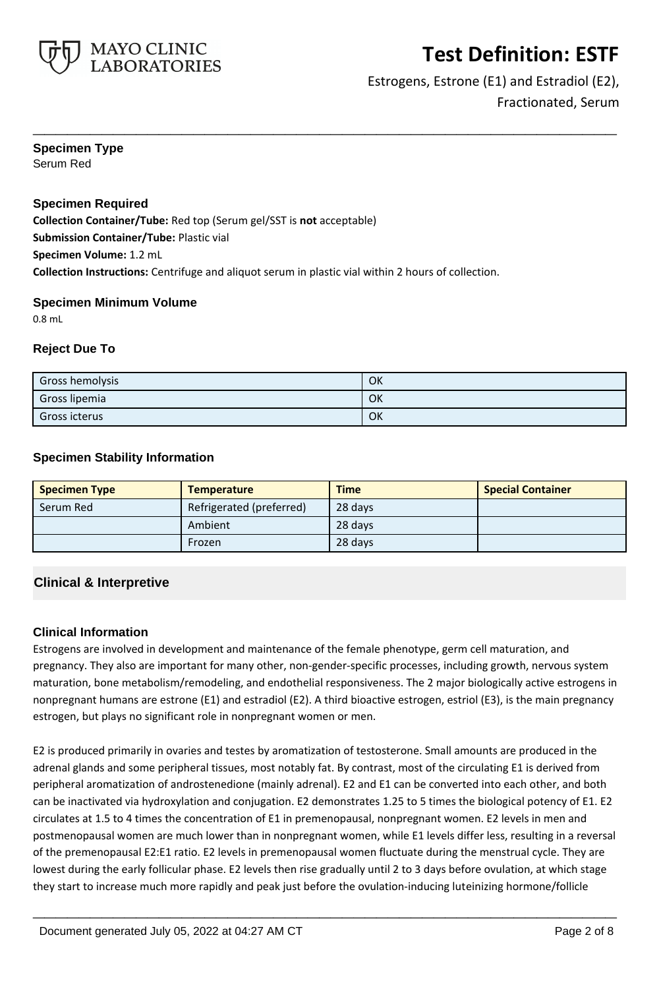

### Estrogens, Estrone (E1) and Estradiol (E2), Fractionated, Serum

## **Specimen Type**

Serum Red

### **Specimen Required**

**Collection Container/Tube:** Red top (Serum gel/SST is **not** acceptable) **Submission Container/Tube:** Plastic vial **Specimen Volume:** 1.2 mL **Collection Instructions:** Centrifuge and aliquot serum in plastic vial within 2 hours of collection.

#### **Specimen Minimum Volume**

0.8 mL

#### **Reject Due To**

| Gross hemolysis      | OK |
|----------------------|----|
| Gross lipemia        | OK |
| <b>Gross icterus</b> | OK |

**\_\_\_\_\_\_\_\_\_\_\_\_\_\_\_\_\_\_\_\_\_\_\_\_\_\_\_\_\_\_\_\_\_\_\_\_\_\_\_\_\_\_\_\_\_\_\_\_\_\_\_**

#### **Specimen Stability Information**

| <b>Specimen Type</b> | <b>Temperature</b>       | <b>Time</b> | <b>Special Container</b> |
|----------------------|--------------------------|-------------|--------------------------|
| Serum Red            | Refrigerated (preferred) | 28 days     |                          |
|                      | Ambient                  | 28 days     |                          |
|                      | Frozen                   | 28 days     |                          |

### **Clinical & Interpretive**

#### **Clinical Information**

Estrogens are involved in development and maintenance of the female phenotype, germ cell maturation, and pregnancy. They also are important for many other, non-gender-specific processes, including growth, nervous system maturation, bone metabolism/remodeling, and endothelial responsiveness. The 2 major biologically active estrogens in nonpregnant humans are estrone (E1) and estradiol (E2). A third bioactive estrogen, estriol (E3), is the main pregnancy estrogen, but plays no significant role in nonpregnant women or men.

E2 is produced primarily in ovaries and testes by aromatization of testosterone. Small amounts are produced in the adrenal glands and some peripheral tissues, most notably fat. By contrast, most of the circulating E1 is derived from peripheral aromatization of androstenedione (mainly adrenal). E2 and E1 can be converted into each other, and both can be inactivated via hydroxylation and conjugation. E2 demonstrates 1.25 to 5 times the biological potency of E1. E2 circulates at 1.5 to 4 times the concentration of E1 in premenopausal, nonpregnant women. E2 levels in men and postmenopausal women are much lower than in nonpregnant women, while E1 levels differ less, resulting in a reversal of the premenopausal E2:E1 ratio. E2 levels in premenopausal women fluctuate during the menstrual cycle. They are lowest during the early follicular phase. E2 levels then rise gradually until 2 to 3 days before ovulation, at which stage they start to increase much more rapidly and peak just before the ovulation-inducing luteinizing hormone/follicle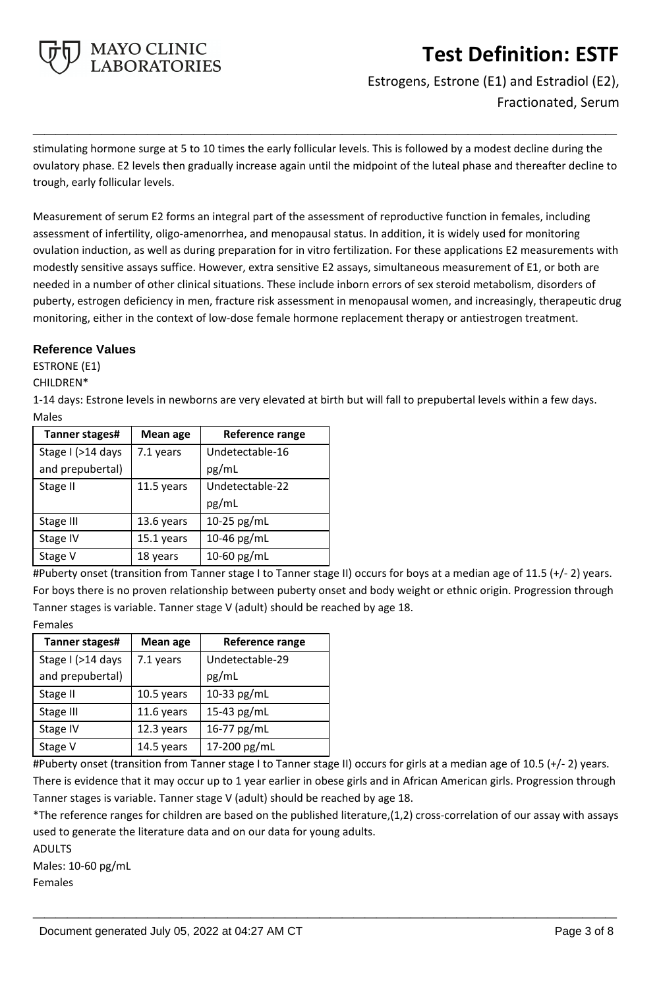

Estrogens, Estrone (E1) and Estradiol (E2), Fractionated, Serum

stimulating hormone surge at 5 to 10 times the early follicular levels. This is followed by a modest decline during the ovulatory phase. E2 levels then gradually increase again until the midpoint of the luteal phase and thereafter decline to trough, early follicular levels.

**\_\_\_\_\_\_\_\_\_\_\_\_\_\_\_\_\_\_\_\_\_\_\_\_\_\_\_\_\_\_\_\_\_\_\_\_\_\_\_\_\_\_\_\_\_\_\_\_\_\_\_**

Measurement of serum E2 forms an integral part of the assessment of reproductive function in females, including assessment of infertility, oligo-amenorrhea, and menopausal status. In addition, it is widely used for monitoring ovulation induction, as well as during preparation for in vitro fertilization. For these applications E2 measurements with modestly sensitive assays suffice. However, extra sensitive E2 assays, simultaneous measurement of E1, or both are needed in a number of other clinical situations. These include inborn errors of sex steroid metabolism, disorders of puberty, estrogen deficiency in men, fracture risk assessment in menopausal women, and increasingly, therapeutic drug monitoring, either in the context of low-dose female hormone replacement therapy or antiestrogen treatment.

#### **Reference Values**

ESTRONE (E1)

CHILDREN\*

1-14 days: Estrone levels in newborns are very elevated at birth but will fall to prepubertal levels within a few days. Males

| Tanner stages#    | <b>Mean age</b> | Reference range |
|-------------------|-----------------|-----------------|
| Stage I (>14 days | 7.1 years       | Undetectable-16 |
| and prepubertal)  |                 | pg/mL           |
| Stage II          | 11.5 years      | Undetectable-22 |
|                   |                 | pg/mL           |
| Stage III         | 13.6 years      | 10-25 pg/mL     |
| Stage IV          | 15.1 years      | 10-46 $pg/mL$   |
| Stage V           | 18 years        | 10-60 $pg/mL$   |

#Puberty onset (transition from Tanner stage I to Tanner stage II) occurs for boys at a median age of 11.5 (+/- 2) years. For boys there is no proven relationship between puberty onset and body weight or ethnic origin. Progression through Tanner stages is variable. Tanner stage V (adult) should be reached by age 18. Females

| .              |  |
|----------------|--|
| Tanner stages# |  |
| I. A A         |  |

| Tanner stages#    | <b>Mean age</b> | Reference range |
|-------------------|-----------------|-----------------|
| Stage I (>14 days | 7.1 years       | Undetectable-29 |
| and prepubertal)  |                 | pg/mL           |
| Stage II          | 10.5 years      | 10-33 pg/mL     |
| Stage III         | 11.6 years      | 15-43 pg/mL     |
| Stage IV          | 12.3 years      | 16-77 pg/mL     |
| Stage V           | 14.5 years      | 17-200 pg/mL    |
|                   |                 |                 |

#Puberty onset (transition from Tanner stage I to Tanner stage II) occurs for girls at a median age of 10.5 (+/- 2) years. There is evidence that it may occur up to 1 year earlier in obese girls and in African American girls. Progression through Tanner stages is variable. Tanner stage V (adult) should be reached by age 18.

\*The reference ranges for children are based on the published literature,(1,2) cross-correlation of our assay with assays used to generate the literature data and on our data for young adults.

**\_\_\_\_\_\_\_\_\_\_\_\_\_\_\_\_\_\_\_\_\_\_\_\_\_\_\_\_\_\_\_\_\_\_\_\_\_\_\_\_\_\_\_\_\_\_\_\_\_\_\_**

ADULTS

Males: 10-60 pg/mL

Females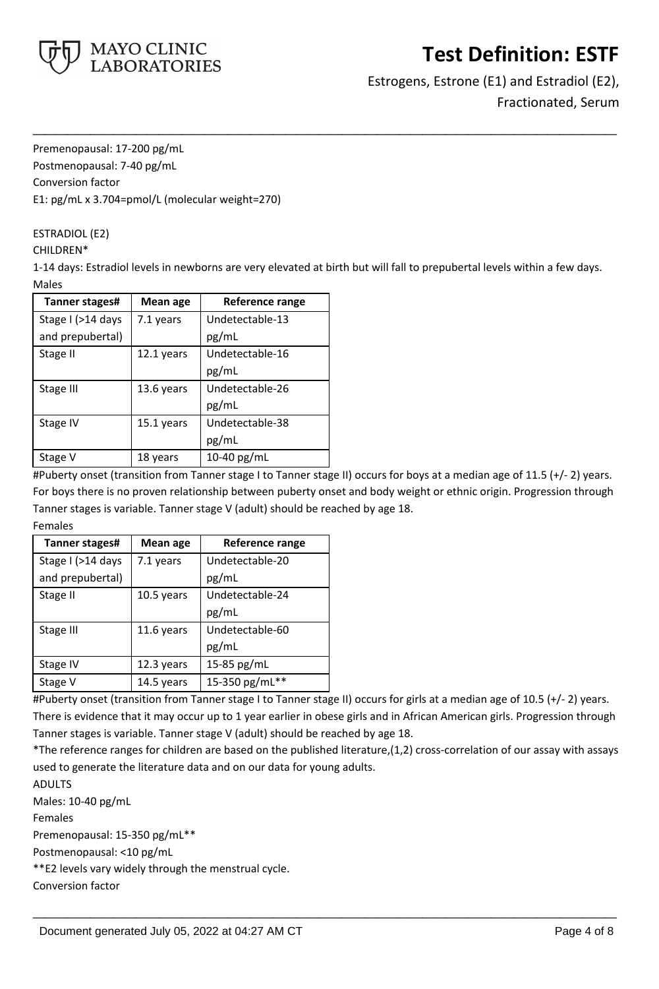

Estrogens, Estrone (E1) and Estradiol (E2), Fractionated, Serum

Premenopausal: 17-200 pg/mL Postmenopausal: 7-40 pg/mL Conversion factor E1: pg/mL x 3.704=pmol/L (molecular weight=270)

ESTRADIOL (E2)

#### CHILDREN\*

1-14 days: Estradiol levels in newborns are very elevated at birth but will fall to prepubertal levels within a few days. Males

**\_\_\_\_\_\_\_\_\_\_\_\_\_\_\_\_\_\_\_\_\_\_\_\_\_\_\_\_\_\_\_\_\_\_\_\_\_\_\_\_\_\_\_\_\_\_\_\_\_\_\_**

| Tanner stages#    | Mean age   | Reference range |
|-------------------|------------|-----------------|
| Stage I (>14 days | 7.1 years  | Undetectable-13 |
| and prepubertal)  |            | pg/mL           |
| Stage II          | 12.1 years | Undetectable-16 |
|                   |            | pg/mL           |
| Stage III         | 13.6 years | Undetectable-26 |
|                   |            | pg/mL           |
| Stage IV          | 15.1 years | Undetectable-38 |
|                   |            | pg/mL           |
| Stage V           | 18 years   | 10-40 $pg/mL$   |

#Puberty onset (transition from Tanner stage I to Tanner stage II) occurs for boys at a median age of 11.5 (+/- 2) years. For boys there is no proven relationship between puberty onset and body weight or ethnic origin. Progression through Tanner stages is variable. Tanner stage V (adult) should be reached by age 18.

Females

| Tanner stages#    | <b>Mean age</b> | Reference range |
|-------------------|-----------------|-----------------|
| Stage I (>14 days | 7.1 years       | Undetectable-20 |
| and prepubertal)  |                 | pg/mL           |
| Stage II          | 10.5 years      | Undetectable-24 |
|                   |                 | pg/mL           |
| Stage III         | 11.6 years      | Undetectable-60 |
|                   |                 | pg/mL           |
| Stage IV          | 12.3 years      | 15-85 pg/mL     |
| Stage V           | 14.5 years      | 15-350 pg/mL**  |

#Puberty onset (transition from Tanner stage I to Tanner stage II) occurs for girls at a median age of 10.5 (+/- 2) years. There is evidence that it may occur up to 1 year earlier in obese girls and in African American girls. Progression through Tanner stages is variable. Tanner stage V (adult) should be reached by age 18.

\*The reference ranges for children are based on the published literature,(1,2) cross-correlation of our assay with assays used to generate the literature data and on our data for young adults.

**\_\_\_\_\_\_\_\_\_\_\_\_\_\_\_\_\_\_\_\_\_\_\_\_\_\_\_\_\_\_\_\_\_\_\_\_\_\_\_\_\_\_\_\_\_\_\_\_\_\_\_**

ADULTS Males: 10-40 pg/mL Females Premenopausal: 15-350 pg/mL\*\* Postmenopausal: <10 pg/mL \*\*E2 levels vary widely through the menstrual cycle. Conversion factor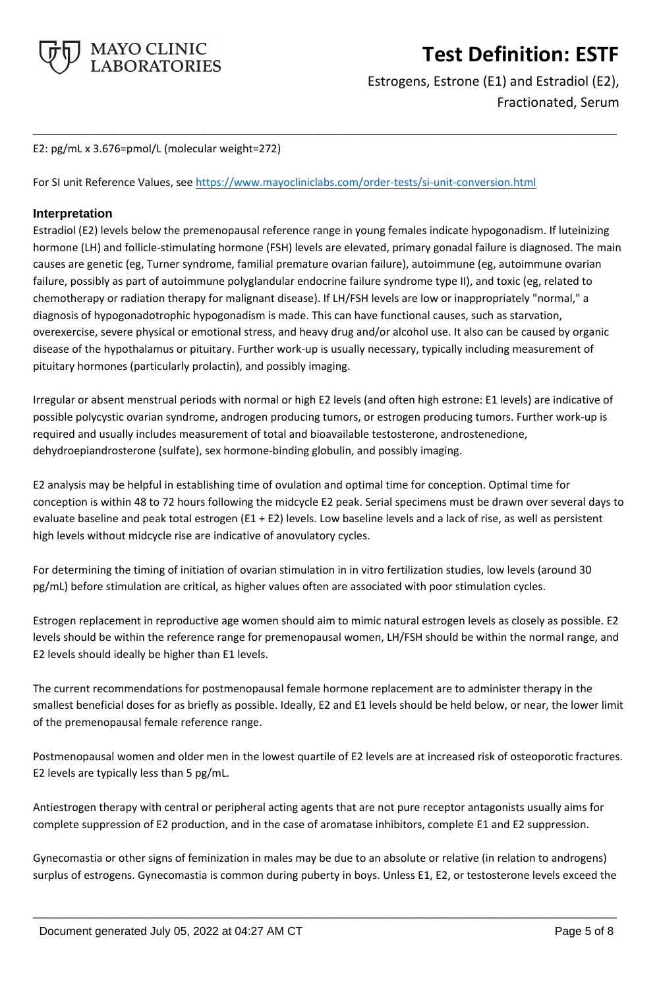

Estrogens, Estrone (E1) and Estradiol (E2), Fractionated, Serum

E2: pg/mL x 3.676=pmol/L (molecular weight=272)

For SI unit Reference Values, see<https://www.mayocliniclabs.com/order-tests/si-unit-conversion.html>

#### **Interpretation**

Estradiol (E2) levels below the premenopausal reference range in young females indicate hypogonadism. If luteinizing hormone (LH) and follicle-stimulating hormone (FSH) levels are elevated, primary gonadal failure is diagnosed. The main causes are genetic (eg, Turner syndrome, familial premature ovarian failure), autoimmune (eg, autoimmune ovarian failure, possibly as part of autoimmune polyglandular endocrine failure syndrome type II), and toxic (eg, related to chemotherapy or radiation therapy for malignant disease). If LH/FSH levels are low or inappropriately "normal," a diagnosis of hypogonadotrophic hypogonadism is made. This can have functional causes, such as starvation, overexercise, severe physical or emotional stress, and heavy drug and/or alcohol use. It also can be caused by organic disease of the hypothalamus or pituitary. Further work-up is usually necessary, typically including measurement of pituitary hormones (particularly prolactin), and possibly imaging.

**\_\_\_\_\_\_\_\_\_\_\_\_\_\_\_\_\_\_\_\_\_\_\_\_\_\_\_\_\_\_\_\_\_\_\_\_\_\_\_\_\_\_\_\_\_\_\_\_\_\_\_**

Irregular or absent menstrual periods with normal or high E2 levels (and often high estrone: E1 levels) are indicative of possible polycystic ovarian syndrome, androgen producing tumors, or estrogen producing tumors. Further work-up is required and usually includes measurement of total and bioavailable testosterone, androstenedione, dehydroepiandrosterone (sulfate), sex hormone-binding globulin, and possibly imaging.

E2 analysis may be helpful in establishing time of ovulation and optimal time for conception. Optimal time for conception is within 48 to 72 hours following the midcycle E2 peak. Serial specimens must be drawn over several days to evaluate baseline and peak total estrogen (E1 + E2) levels. Low baseline levels and a lack of rise, as well as persistent high levels without midcycle rise are indicative of anovulatory cycles.

For determining the timing of initiation of ovarian stimulation in in vitro fertilization studies, low levels (around 30 pg/mL) before stimulation are critical, as higher values often are associated with poor stimulation cycles.

Estrogen replacement in reproductive age women should aim to mimic natural estrogen levels as closely as possible. E2 levels should be within the reference range for premenopausal women, LH/FSH should be within the normal range, and E2 levels should ideally be higher than E1 levels.

The current recommendations for postmenopausal female hormone replacement are to administer therapy in the smallest beneficial doses for as briefly as possible. Ideally, E2 and E1 levels should be held below, or near, the lower limit of the premenopausal female reference range.

Postmenopausal women and older men in the lowest quartile of E2 levels are at increased risk of osteoporotic fractures. E2 levels are typically less than 5 pg/mL.

Antiestrogen therapy with central or peripheral acting agents that are not pure receptor antagonists usually aims for complete suppression of E2 production, and in the case of aromatase inhibitors, complete E1 and E2 suppression.

Gynecomastia or other signs of feminization in males may be due to an absolute or relative (in relation to androgens) surplus of estrogens. Gynecomastia is common during puberty in boys. Unless E1, E2, or testosterone levels exceed the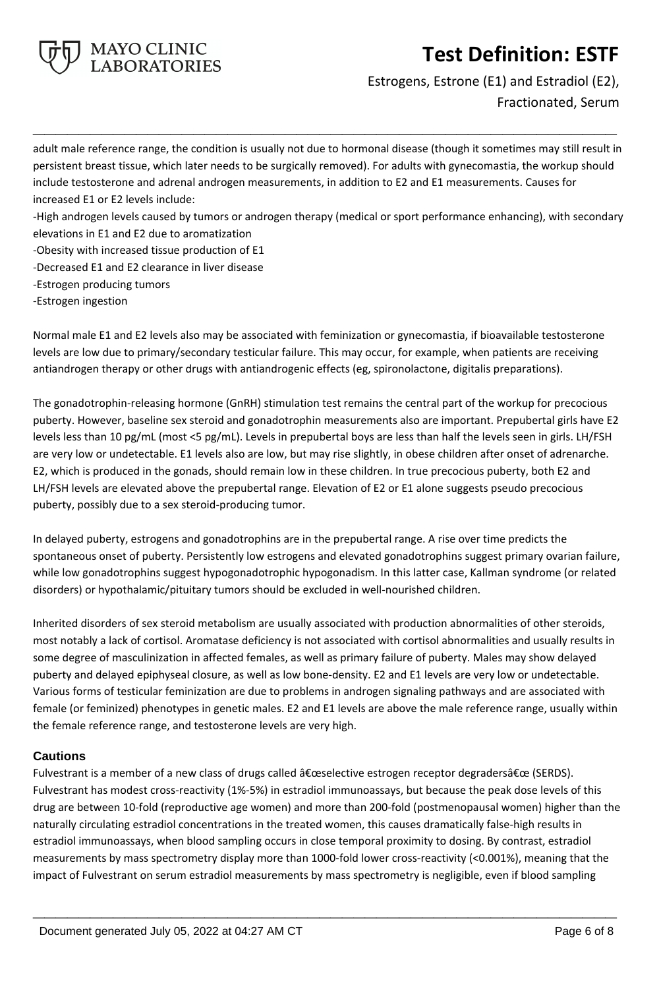

Estrogens, Estrone (E1) and Estradiol (E2), Fractionated, Serum

adult male reference range, the condition is usually not due to hormonal disease (though it sometimes may still result in persistent breast tissue, which later needs to be surgically removed). For adults with gynecomastia, the workup should include testosterone and adrenal androgen measurements, in addition to E2 and E1 measurements. Causes for increased E1 or E2 levels include:

**\_\_\_\_\_\_\_\_\_\_\_\_\_\_\_\_\_\_\_\_\_\_\_\_\_\_\_\_\_\_\_\_\_\_\_\_\_\_\_\_\_\_\_\_\_\_\_\_\_\_\_**

-High androgen levels caused by tumors or androgen therapy (medical or sport performance enhancing), with secondary elevations in E1 and E2 due to aromatization

- -Obesity with increased tissue production of E1
- -Decreased E1 and E2 clearance in liver disease
- -Estrogen producing tumors
- -Estrogen ingestion

Normal male E1 and E2 levels also may be associated with feminization or gynecomastia, if bioavailable testosterone levels are low due to primary/secondary testicular failure. This may occur, for example, when patients are receiving antiandrogen therapy or other drugs with antiandrogenic effects (eg, spironolactone, digitalis preparations).

The gonadotrophin-releasing hormone (GnRH) stimulation test remains the central part of the workup for precocious puberty. However, baseline sex steroid and gonadotrophin measurements also are important. Prepubertal girls have E2 levels less than 10 pg/mL (most <5 pg/mL). Levels in prepubertal boys are less than half the levels seen in girls. LH/FSH are very low or undetectable. E1 levels also are low, but may rise slightly, in obese children after onset of adrenarche. E2, which is produced in the gonads, should remain low in these children. In true precocious puberty, both E2 and LH/FSH levels are elevated above the prepubertal range. Elevation of E2 or E1 alone suggests pseudo precocious puberty, possibly due to a sex steroid-producing tumor.

In delayed puberty, estrogens and gonadotrophins are in the prepubertal range. A rise over time predicts the spontaneous onset of puberty. Persistently low estrogens and elevated gonadotrophins suggest primary ovarian failure, while low gonadotrophins suggest hypogonadotrophic hypogonadism. In this latter case, Kallman syndrome (or related disorders) or hypothalamic/pituitary tumors should be excluded in well-nourished children.

Inherited disorders of sex steroid metabolism are usually associated with production abnormalities of other steroids, most notably a lack of cortisol. Aromatase deficiency is not associated with cortisol abnormalities and usually results in some degree of masculinization in affected females, as well as primary failure of puberty. Males may show delayed puberty and delayed epiphyseal closure, as well as low bone-density. E2 and E1 levels are very low or undetectable. Various forms of testicular feminization are due to problems in androgen signaling pathways and are associated with female (or feminized) phenotypes in genetic males. E2 and E1 levels are above the male reference range, usually within the female reference range, and testosterone levels are very high.

### **Cautions**

Fulvestrant is a member of a new class of drugs called  $\hat{a} \epsilon$ œselective estrogen receptor degraders $\hat{a} \epsilon$ œ (SERDS). Fulvestrant has modest cross-reactivity (1%-5%) in estradiol immunoassays, but because the peak dose levels of this drug are between 10-fold (reproductive age women) and more than 200-fold (postmenopausal women) higher than the naturally circulating estradiol concentrations in the treated women, this causes dramatically false-high results in estradiol immunoassays, when blood sampling occurs in close temporal proximity to dosing. By contrast, estradiol measurements by mass spectrometry display more than 1000-fold lower cross-reactivity (<0.001%), meaning that the impact of Fulvestrant on serum estradiol measurements by mass spectrometry is negligible, even if blood sampling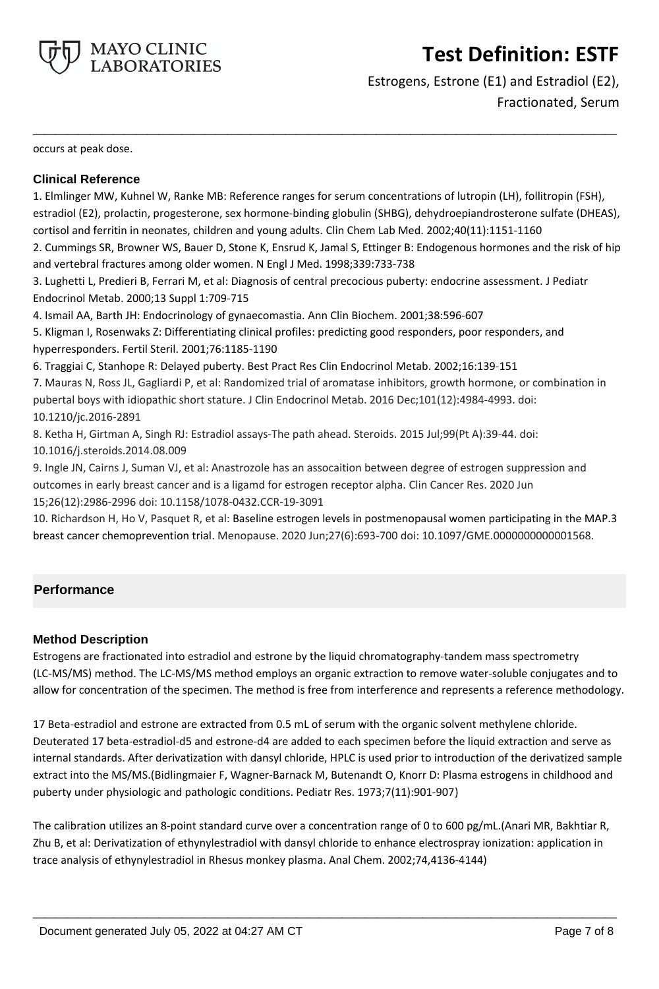

Estrogens, Estrone (E1) and Estradiol (E2), Fractionated, Serum

occurs at peak dose.

#### **Clinical Reference**

1. Elmlinger MW, Kuhnel W, Ranke MB: Reference ranges for serum concentrations of lutropin (LH), follitropin (FSH), estradiol (E2), prolactin, progesterone, sex hormone-binding globulin (SHBG), dehydroepiandrosterone sulfate (DHEAS), cortisol and ferritin in neonates, children and young adults. Clin Chem Lab Med. 2002;40(11):1151-1160

**\_\_\_\_\_\_\_\_\_\_\_\_\_\_\_\_\_\_\_\_\_\_\_\_\_\_\_\_\_\_\_\_\_\_\_\_\_\_\_\_\_\_\_\_\_\_\_\_\_\_\_**

2. Cummings SR, Browner WS, Bauer D, Stone K, Ensrud K, Jamal S, Ettinger B: Endogenous hormones and the risk of hip and vertebral fractures among older women. N Engl J Med. 1998;339:733-738

3. Lughetti L, Predieri B, Ferrari M, et al: Diagnosis of central precocious puberty: endocrine assessment. J Pediatr Endocrinol Metab. 2000;13 Suppl 1:709-715

4. Ismail AA, Barth JH: Endocrinology of gynaecomastia. Ann Clin Biochem. 2001;38:596-607

5. Kligman I, Rosenwaks Z: Differentiating clinical profiles: predicting good responders, poor responders, and hyperresponders. Fertil Steril. 2001;76:1185-1190

6. Traggiai C, Stanhope R: Delayed puberty. Best Pract Res Clin Endocrinol Metab. 2002;16:139-151

7. Mauras N, Ross JL, Gagliardi P, et al: Randomized trial of aromatase inhibitors, growth hormone, or combination in pubertal boys with idiopathic short stature. J Clin Endocrinol Metab. 2016 Dec;101(12):4984-4993. doi: 10.1210/jc.2016-2891

8. Ketha H, Girtman A, Singh RJ: Estradiol assays-The path ahead. Steroids. 2015 Jul;99(Pt A):39-44. doi: 10.1016/j.steroids.2014.08.009

9. Ingle JN, Cairns J, Suman VJ, et al: Anastrozole has an assocaition between degree of estrogen suppression and outcomes in early breast cancer and is a ligamd for estrogen receptor alpha. Clin Cancer Res. 2020 Jun 15;26(12):2986-2996 doi: 10.1158/1078-0432.CCR-19-3091

10. Richardson H, Ho V, Pasquet R, et al: Baseline estrogen levels in postmenopausal women participating in the MAP.3 breast cancer chemoprevention trial. Menopause. 2020 Jun;27(6):693-700 doi: 10.1097/GME.0000000000001568.

### **Performance**

#### **Method Description**

Estrogens are fractionated into estradiol and estrone by the liquid chromatography-tandem mass spectrometry (LC-MS/MS) method. The LC-MS/MS method employs an organic extraction to remove water-soluble conjugates and to allow for concentration of the specimen. The method is free from interference and represents a reference methodology.

17 Beta-estradiol and estrone are extracted from 0.5 mL of serum with the organic solvent methylene chloride. Deuterated 17 beta-estradiol-d5 and estrone-d4 are added to each specimen before the liquid extraction and serve as internal standards. After derivatization with dansyl chloride, HPLC is used prior to introduction of the derivatized sample extract into the MS/MS.(Bidlingmaier F, Wagner-Barnack M, Butenandt O, Knorr D: Plasma estrogens in childhood and puberty under physiologic and pathologic conditions. Pediatr Res. 1973;7(11):901-907)

The calibration utilizes an 8-point standard curve over a concentration range of 0 to 600 pg/mL.(Anari MR, Bakhtiar R, Zhu B, et al: Derivatization of ethynylestradiol with dansyl chloride to enhance electrospray ionization: application in trace analysis of ethynylestradiol in Rhesus monkey plasma. Anal Chem. 2002;74,4136-4144)